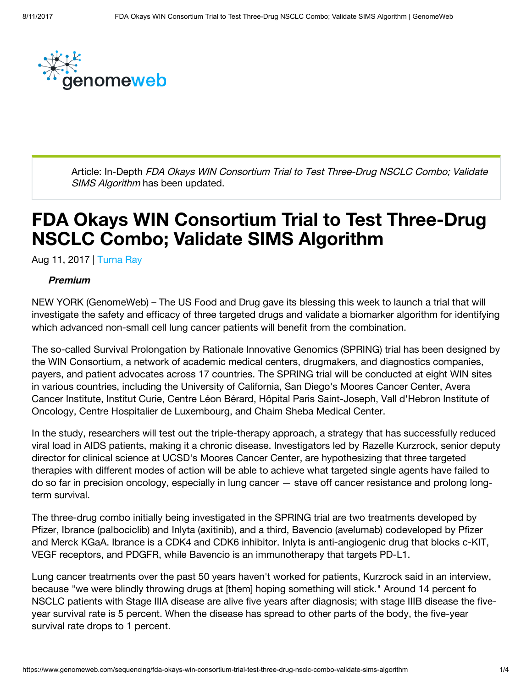

Article: In-Depth FDA Okays WIN Consortium Trial to Test Three-Drug NSCLC Combo; Validate SIMS Algorithm has been updated.

## FDA Okays WIN Consortium Trial to Test Three-Drug NSCLC Combo; Validate SIMS Algorithm

Aug 11, 2017 | [Turna](https://www.genomeweb.com/about-us/our-staff/turna-ray) Ray

## Premium

NEW YORK (GenomeWeb) – The US Food and Drug gave its blessing this week to launch a trial that will investigate the safety and efficacy of three targeted drugs and validate a biomarker algorithm for identifying which advanced non-small cell lung cancer patients will benefit from the combination.

The so-called Survival Prolongation by Rationale Innovative Genomics (SPRING) trial has been designed by the WIN Consortium, a network of academic medical centers, drugmakers, and diagnostics companies, payers, and patient advocates across 17 countries. The SPRING trial will be conducted at eight WIN sites in various countries, including the University of California, San Diego's Moores Cancer Center, Avera Cancer Institute, Institut Curie, Centre Léon Bérard, Hôpital Paris Saint-Joseph, Vall d'Hebron Institute of Oncology, Centre Hospitalier de Luxembourg, and Chaim Sheba Medical Center.

In the study, researchers will test out the triple-therapy approach, a strategy that has successfully reduced viral load in AIDS patients, making it a chronic disease. Investigators led by Razelle Kurzrock, senior deputy director for clinical science at UCSD's Moores Cancer Center, are hypothesizing that three targeted therapies with different modes of action will be able to achieve what targeted single agents have failed to do so far in precision oncology, especially in lung cancer — stave off cancer resistance and prolong longterm survival.

The three-drug combo initially being investigated in the SPRING trial are two treatments developed by Pfizer, Ibrance (palbociclib) and Inlyta (axitinib), and a third, Bavencio (avelumab) codeveloped by Pfizer and Merck KGaA. Ibrance is a CDK4 and CDK6 inhibitor. Inlyta is anti-angiogenic drug that blocks c-KIT, VEGF receptors, and PDGFR, while Bavencio is an immunotherapy that targets PD-L1.

Lung cancer treatments over the past 50 years haven't worked for patients, Kurzrock said in an interview, because "we were blindly throwing drugs at [them] hoping something will stick." Around 14 percent fo NSCLC patients with Stage IIIA disease are alive five years after diagnosis; with stage IIIB disease the fiveyear survival rate is 5 percent. When the disease has spread to other parts of the body, the five-year survival rate drops to 1 percent.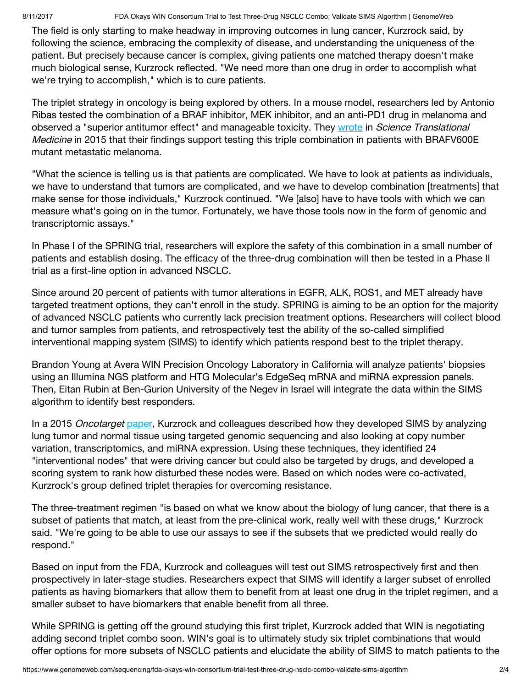8/11/2017 FDA Okays WIN Consortium Trial to Test Three-Drug NSCLC Combo; Validate SIMS Algorithm | GenomeWeb

The field is only starting to make headway in improving outcomes in lung cancer, Kurzrock said, by following the science, embracing the complexity of disease, and understanding the uniqueness of the patient. But precisely because cancer is complex, giving patients one matched therapy doesn't make much biological sense, Kurzrock reflected. "We need more than one drug in order to accomplish what we're trying to accomplish," which is to cure patients.

The triplet strategy in oncology is being explored by others. In a mouse model, researchers led by Antonio Ribas tested the combination of a BRAF inhibitor, MEK inhibitor, and an anti-PD1 drug in melanoma and observed a "superior antitumor effect" and manageable toxicity. They [wrote](http://stm.sciencemag.org/content/7/279/279ra41) in Science Translational Medicine in 2015 that their findings support testing this triple combination in patients with BRAFV600E mutant metastatic melanoma.

"What the science is telling us is that patients are complicated. We have to look at patients as individuals, we have to understand that tumors are complicated, and we have to develop combination [treatments] that make sense for those individuals," Kurzrock continued. "We [also] have to have tools with which we can measure what's going on in the tumor. Fortunately, we have those tools now in the form of genomic and transcriptomic assays."

In Phase I of the SPRING trial, researchers will explore the safety of this combination in a small number of patients and establish dosing. The efficacy of the three-drug combination will then be tested in a Phase II trial as a first-line option in advanced NSCLC.

Since around 20 percent of patients with tumor alterations in EGFR, ALK, ROS1, and MET already have targeted treatment options, they can't enroll in the study. SPRING is aiming to be an option for the majority of advanced NSCLC patients who currently lack precision treatment options. Researchers will collect blood and tumor samples from patients, and retrospectively test the ability of the so-called simplified interventional mapping system (SIMS) to identify which patients respond best to the triplet therapy.

Brandon Young at Avera WIN Precision Oncology Laboratory in California will analyze patients' biopsies using an Illumina NGS platform and HTG Molecular's EdgeSeq mRNA and miRNA expression panels. Then, Eitan Rubin at Ben-Gurion University of the Negev in Israel will integrate the data within the SIMS algorithm to identify best responders.

In a 2015 Oncotarget [paper](https://www.genomeweb.com/molecular-diagnostics/win-consortium-describes-development-sims-algorithm-personalize-nsclc-triplet), Kurzrock and colleagues described how they developed SIMS by analyzing lung tumor and normal tissue using targeted genomic sequencing and also looking at copy number variation, transcriptomics, and miRNA expression. Using these techniques, they identified 24 "interventional nodes" that were driving cancer but could also be targeted by drugs, and developed a scoring system to rank how disturbed these nodes were. Based on which nodes were co-activated, Kurzrock's group defined triplet therapies for overcoming resistance.

The three-treatment regimen "is based on what we know about the biology of lung cancer, that there is a subset of patients that match, at least from the pre-clinical work, really well with these drugs," Kurzrock said. "We're going to be able to use our assays to see if the subsets that we predicted would really do respond."

Based on input from the FDA, Kurzrock and colleagues will test out SIMS retrospectively first and then prospectively in later-stage studies. Researchers expect that SIMS will identify a larger subset of enrolled patients as having biomarkers that allow them to benefit from at least one drug in the triplet regimen, and a smaller subset to have biomarkers that enable benefit from all three.

While SPRING is getting off the ground studying this first triplet, Kurzrock added that WIN is negotiating adding second triplet combo soon. WIN's goal is to ultimately study six triplet combinations that would offer options for more subsets of NSCLC patients and elucidate the ability of SIMS to match patients to the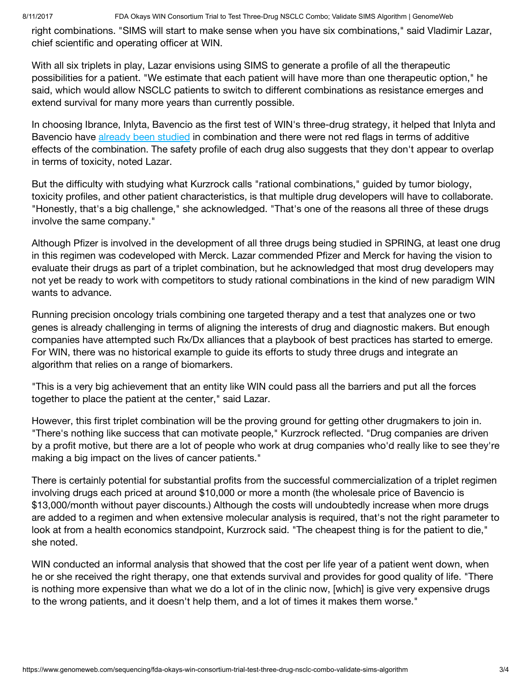right combinations. "SIMS will start to make sense when you have six combinations," said Vladimir Lazar, chief scientific and operating officer at WIN.

With all six triplets in play, Lazar envisions using SIMS to generate a profile of all the therapeutic possibilities for a patient. "We estimate that each patient will have more than one therapeutic option," he said, which would allow NSCLC patients to switch to different combinations as resistance emerges and extend survival for many more years than currently possible.

In choosing Ibrance, Inlyta, Bavencio as the first test of WIN's three-drug strategy, it helped that Inlyta and Bavencio have already been [studied](http://ascopubs.org/doi/abs/10.1200/JCO.2017.35.15_suppl.4504) in combination and there were not red flags in terms of additive effects of the combination. The safety profile of each drug also suggests that they don't appear to overlap in terms of toxicity, noted Lazar.

But the difficulty with studying what Kurzrock calls "rational combinations," guided by tumor biology, toxicity profiles, and other patient characteristics, is that multiple drug developers will have to collaborate. "Honestly, that's a big challenge," she acknowledged. "That's one of the reasons all three of these drugs involve the same company."

Although Pfizer is involved in the development of all three drugs being studied in SPRING, at least one drug in this regimen was codeveloped with Merck. Lazar commended Pfizer and Merck for having the vision to evaluate their drugs as part of a triplet combination, but he acknowledged that most drug developers may not yet be ready to work with competitors to study rational combinations in the kind of new paradigm WIN wants to advance.

Running precision oncology trials combining one targeted therapy and a test that analyzes one or two genes is already challenging in terms of aligning the interests of drug and diagnostic makers. But enough companies have attempted such Rx/Dx alliances that a playbook of best practices has started to emerge. For WIN, there was no historical example to guide its efforts to study three drugs and integrate an algorithm that relies on a range of biomarkers.

"This is a very big achievement that an entity like WIN could pass all the barriers and put all the forces together to place the patient at the center," said Lazar.

However, this first triplet combination will be the proving ground for getting other drugmakers to join in. "There's nothing like success that can motivate people," Kurzrock reflected. "Drug companies are driven by a profit motive, but there are a lot of people who work at drug companies who'd really like to see they're making a big impact on the lives of cancer patients."

There is certainly potential for substantial profits from the successful commercialization of a triplet regimen involving drugs each priced at around \$10,000 or more a month (the wholesale price of Bavencio is \$13,000/month without payer discounts.) Although the costs will undoubtedly increase when more drugs are added to a regimen and when extensive molecular analysis is required, that's not the right parameter to look at from a health economics standpoint, Kurzrock said. "The cheapest thing is for the patient to die," she noted.

WIN conducted an informal analysis that showed that the cost per life year of a patient went down, when he or she received the right therapy, one that extends survival and provides for good quality of life. "There is nothing more expensive than what we do a lot of in the clinic now, [which] is give very expensive drugs to the wrong patients, and it doesn't help them, and a lot of times it makes them worse."